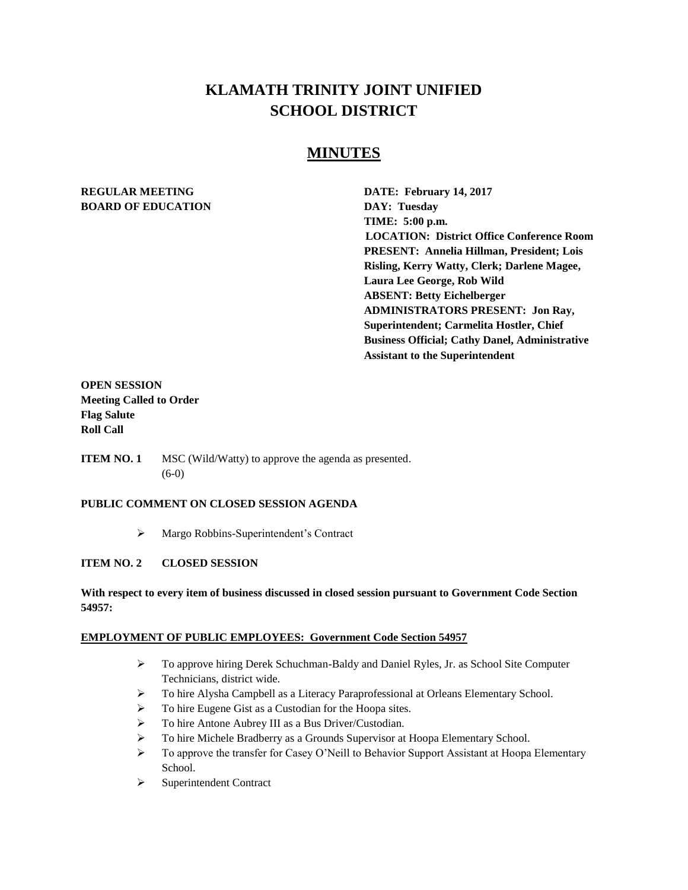# **KLAMATH TRINITY JOINT UNIFIED SCHOOL DISTRICT**

## **MINUTES**

# **BOARD OF EDUCATION DAY: Tuesday**

**REGULAR MEETING DATE: February 14, 2017 TIME: 5:00 p.m. LOCATION: District Office Conference Room PRESENT: Annelia Hillman, President; Lois Risling, Kerry Watty, Clerk; Darlene Magee, Laura Lee George, Rob Wild ABSENT: Betty Eichelberger ADMINISTRATORS PRESENT: Jon Ray, Superintendent; Carmelita Hostler, Chief Business Official; Cathy Danel, Administrative Assistant to the Superintendent** 

## **OPEN SESSION Meeting Called to Order Flag Salute Roll Call**

**ITEM NO. 1** MSC (Wild/Watty) to approve the agenda as presented. (6-0)

## **PUBLIC COMMENT ON CLOSED SESSION AGENDA**

Margo Robbins-Superintendent's Contract

## **ITEM NO. 2 CLOSED SESSION**

## **With respect to every item of business discussed in closed session pursuant to Government Code Section 54957:**

#### **EMPLOYMENT OF PUBLIC EMPLOYEES: Government Code Section 54957**

- $\triangleright$  To approve hiring Derek Schuchman-Baldy and Daniel Ryles, Jr. as School Site Computer Technicians, district wide.
- To hire Alysha Campbell as a Literacy Paraprofessional at Orleans Elementary School.
- $\triangleright$  To hire Eugene Gist as a Custodian for the Hoopa sites.
- To hire Antone Aubrey III as a Bus Driver/Custodian.
- To hire Michele Bradberry as a Grounds Supervisor at Hoopa Elementary School.
- $\triangleright$  To approve the transfer for Casey O'Neill to Behavior Support Assistant at Hoopa Elementary School.
- $\triangleright$  Superintendent Contract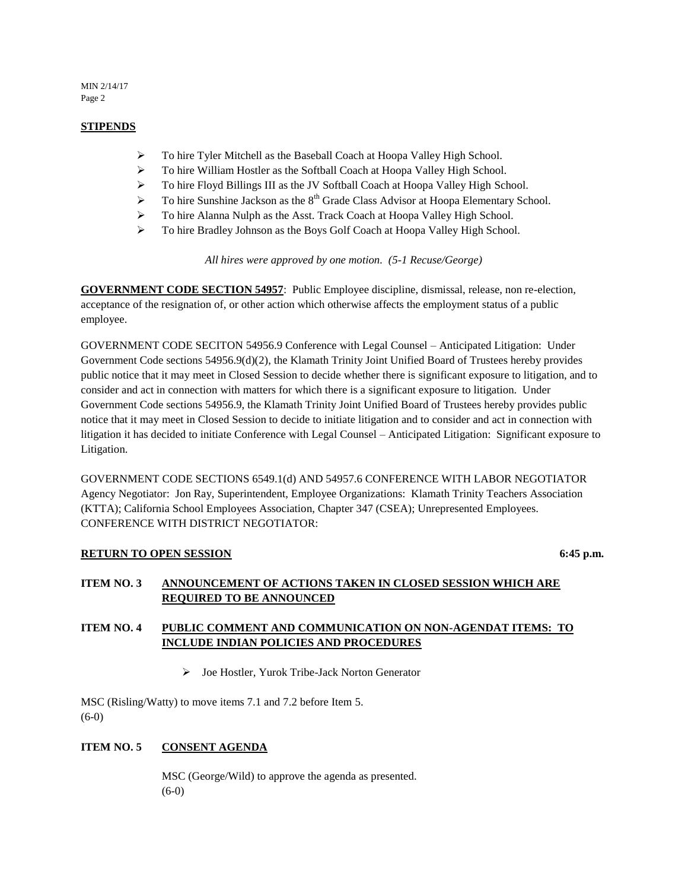MIN 2/14/17 Page 2

#### **STIPENDS**

- $\triangleright$  To hire Tyler Mitchell as the Baseball Coach at Hoopa Valley High School.
- To hire William Hostler as the Softball Coach at Hoopa Valley High School.
- > To hire Floyd Billings III as the JV Softball Coach at Hoopa Valley High School.
- $\triangleright$  To hire Sunshine Jackson as the 8<sup>th</sup> Grade Class Advisor at Hoopa Elementary School.
- > To hire Alanna Nulph as the Asst. Track Coach at Hoopa Valley High School.
- To hire Bradley Johnson as the Boys Golf Coach at Hoopa Valley High School.

*All hires were approved by one motion. (5-1 Recuse/George)*

**GOVERNMENT CODE SECTION 54957**: Public Employee discipline, dismissal, release, non re-election, acceptance of the resignation of, or other action which otherwise affects the employment status of a public employee.

GOVERNMENT CODE SECITON 54956.9 Conference with Legal Counsel – Anticipated Litigation: Under Government Code sections 54956.9(d)(2), the Klamath Trinity Joint Unified Board of Trustees hereby provides public notice that it may meet in Closed Session to decide whether there is significant exposure to litigation, and to consider and act in connection with matters for which there is a significant exposure to litigation. Under Government Code sections 54956.9, the Klamath Trinity Joint Unified Board of Trustees hereby provides public notice that it may meet in Closed Session to decide to initiate litigation and to consider and act in connection with litigation it has decided to initiate Conference with Legal Counsel – Anticipated Litigation: Significant exposure to Litigation.

GOVERNMENT CODE SECTIONS 6549.1(d) AND 54957.6 CONFERENCE WITH LABOR NEGOTIATOR Agency Negotiator: Jon Ray, Superintendent, Employee Organizations: Klamath Trinity Teachers Association (KTTA); California School Employees Association, Chapter 347 (CSEA); Unrepresented Employees. CONFERENCE WITH DISTRICT NEGOTIATOR:

## **RETURN TO OPEN SESSION** 6:45 **p.m.**

## **ITEM NO. 3 ANNOUNCEMENT OF ACTIONS TAKEN IN CLOSED SESSION WHICH ARE REQUIRED TO BE ANNOUNCED**

## **ITEM NO. 4 PUBLIC COMMENT AND COMMUNICATION ON NON-AGENDAT ITEMS: TO INCLUDE INDIAN POLICIES AND PROCEDURES**

Joe Hostler, Yurok Tribe-Jack Norton Generator

MSC (Risling/Watty) to move items 7.1 and 7.2 before Item 5. (6-0)

## **ITEM NO. 5 CONSENT AGENDA**

MSC (George/Wild) to approve the agenda as presented.  $(6-0)$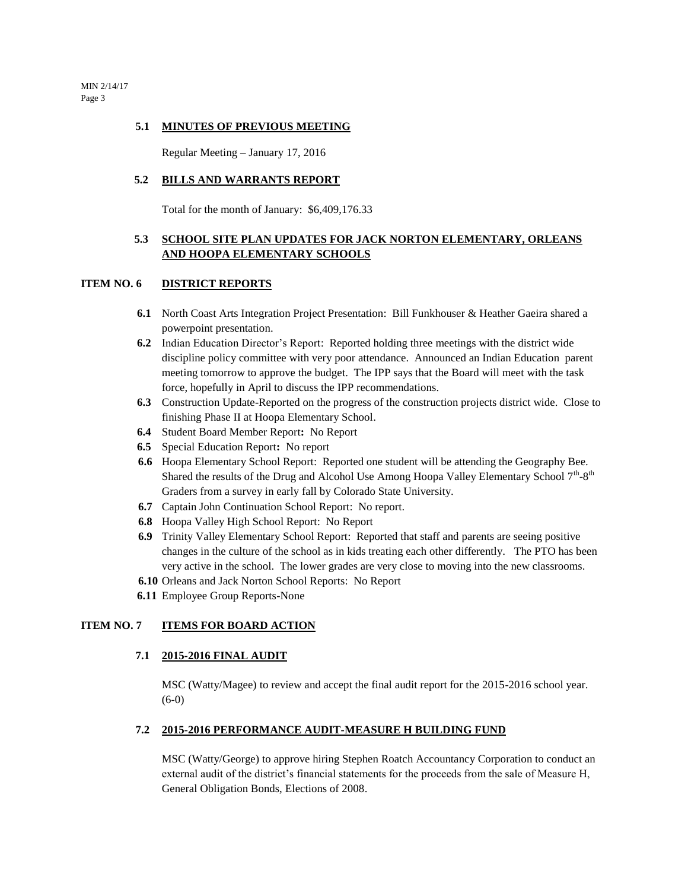MIN 2/14/17 Page 3

#### **5.1 MINUTES OF PREVIOUS MEETING**

Regular Meeting – January 17, 2016

#### **5.2 BILLS AND WARRANTS REPORT**

Total for the month of January: \$6,409,176.33

## **5.3 SCHOOL SITE PLAN UPDATES FOR JACK NORTON ELEMENTARY, ORLEANS AND HOOPA ELEMENTARY SCHOOLS**

#### **ITEM NO. 6 DISTRICT REPORTS**

- **6.1** North Coast Arts Integration Project Presentation: Bill Funkhouser & Heather Gaeira shared a powerpoint presentation.
- **6.2** Indian Education Director's Report: Reported holding three meetings with the district wide discipline policy committee with very poor attendance. Announced an Indian Education parent meeting tomorrow to approve the budget. The IPP says that the Board will meet with the task force, hopefully in April to discuss the IPP recommendations.
- **6.3** Construction Update-Reported on the progress of the construction projects district wide. Close to finishing Phase II at Hoopa Elementary School.
- **6.4** Student Board Member Report**:** No Report
- **6.5** Special Education Report**:** No report
- **6.6** Hoopa Elementary School Report: Reported one student will be attending the Geography Bee. Shared the results of the Drug and Alcohol Use Among Hoopa Valley Elementary School  $7<sup>th</sup>$ -8<sup>th</sup> Graders from a survey in early fall by Colorado State University.
- **6.7** Captain John Continuation School Report: No report.
- **6.8** Hoopa Valley High School Report: No Report
- **6.9** Trinity Valley Elementary School Report: Reported that staff and parents are seeing positive changes in the culture of the school as in kids treating each other differently. The PTO has been very active in the school. The lower grades are very close to moving into the new classrooms.
- **6.10** Orleans and Jack Norton School Reports: No Report
- **6.11** Employee Group Reports-None

#### **ITEM NO. 7 ITEMS FOR BOARD ACTION**

#### **7.1 2015-2016 FINAL AUDIT**

MSC (Watty/Magee) to review and accept the final audit report for the 2015-2016 school year. (6-0)

#### **7.2 2015-2016 PERFORMANCE AUDIT-MEASURE H BUILDING FUND**

MSC (Watty/George) to approve hiring Stephen Roatch Accountancy Corporation to conduct an external audit of the district's financial statements for the proceeds from the sale of Measure H, General Obligation Bonds, Elections of 2008.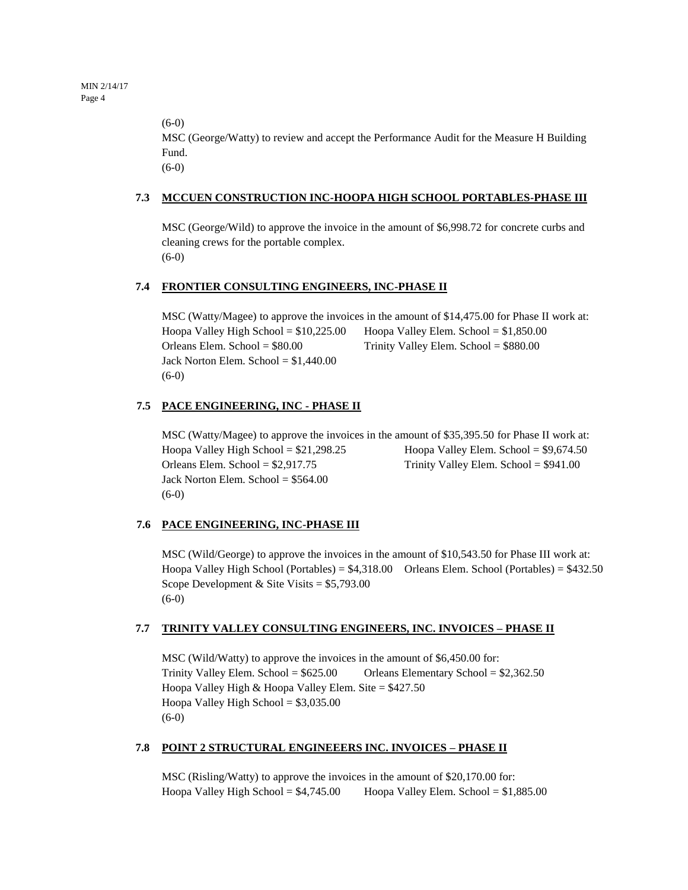(6-0)

MSC (George/Watty) to review and accept the Performance Audit for the Measure H Building Fund.

(6-0)

## **7.3 MCCUEN CONSTRUCTION INC-HOOPA HIGH SCHOOL PORTABLES-PHASE III**

MSC (George/Wild) to approve the invoice in the amount of \$6,998.72 for concrete curbs and cleaning crews for the portable complex. (6-0)

## **7.4 FRONTIER CONSULTING ENGINEERS, INC-PHASE II**

MSC (Watty/Magee) to approve the invoices in the amount of \$14,475.00 for Phase II work at: Hoopa Valley High School =  $$10,225.00$  Hoopa Valley Elem. School =  $$1,850.00$ Orleans Elem. School = \$80.00 Trinity Valley Elem. School = \$880.00 Jack Norton Elem. School =  $$1,440.00$ (6-0)

## **7.5 PACE ENGINEERING, INC - PHASE II**

MSC (Watty/Magee) to approve the invoices in the amount of \$35,395.50 for Phase II work at: Hoopa Valley High School =  $$21,298.25$  Hoopa Valley Elem. School =  $$9,674.50$ Orleans Elem. School = \$2,917.75 Trinity Valley Elem. School = \$941.00 Jack Norton Elem. School =  $$564.00$ (6-0)

## **7.6 PACE ENGINEERING, INC-PHASE III**

MSC (Wild/George) to approve the invoices in the amount of \$10,543.50 for Phase III work at: Hoopa Valley High School (Portables) =  $$4,318.00$  Orleans Elem. School (Portables) =  $$432.50$ Scope Development & Site Visits = \$5,793.00 (6-0)

## **7.7 TRINITY VALLEY CONSULTING ENGINEERS, INC. INVOICES – PHASE II**

MSC (Wild/Watty) to approve the invoices in the amount of \$6,450.00 for: Trinity Valley Elem. School =  $$625.00$  Orleans Elementary School =  $$2,362.50$ Hoopa Valley High & Hoopa Valley Elem. Site = \$427.50 Hoopa Valley High School  $= $3,035.00$ (6-0)

## **7.8 POINT 2 STRUCTURAL ENGINEEERS INC. INVOICES – PHASE II**

MSC (Risling/Watty) to approve the invoices in the amount of \$20,170.00 for: Hoopa Valley High School =  $$4,745.00$  Hoopa Valley Elem. School =  $$1,885.00$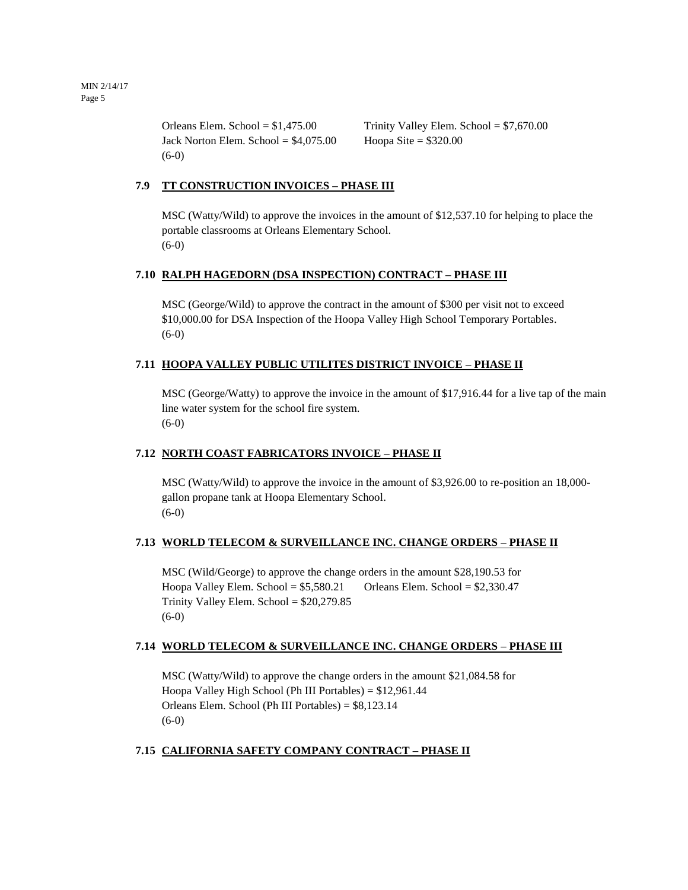Jack Norton Elem. School =  $$4,075.00$  Hoopa Site =  $$320.00$ (6-0)

Orleans Elem. School =  $$1,475.00$  Trinity Valley Elem. School =  $$7,670.00$ 

## **7.9 TT CONSTRUCTION INVOICES – PHASE III**

MSC (Watty/Wild) to approve the invoices in the amount of \$12,537.10 for helping to place the portable classrooms at Orleans Elementary School. (6-0)

## **7.10 RALPH HAGEDORN (DSA INSPECTION) CONTRACT – PHASE III**

MSC (George/Wild) to approve the contract in the amount of \$300 per visit not to exceed \$10,000.00 for DSA Inspection of the Hoopa Valley High School Temporary Portables. (6-0)

## **7.11 HOOPA VALLEY PUBLIC UTILITES DISTRICT INVOICE – PHASE II**

MSC (George/Watty) to approve the invoice in the amount of \$17,916.44 for a live tap of the main line water system for the school fire system.  $(6-0)$ 

## **7.12 NORTH COAST FABRICATORS INVOICE – PHASE II**

MSC (Watty/Wild) to approve the invoice in the amount of \$3,926.00 to re-position an 18,000 gallon propane tank at Hoopa Elementary School. (6-0)

## **7.13 WORLD TELECOM & SURVEILLANCE INC. CHANGE ORDERS – PHASE II**

MSC (Wild/George) to approve the change orders in the amount \$28,190.53 for Hoopa Valley Elem. School =  $$5,580.21$  Orleans Elem. School =  $$2,330.47$ Trinity Valley Elem. School = \$20,279.85 (6-0)

## **7.14 WORLD TELECOM & SURVEILLANCE INC. CHANGE ORDERS – PHASE III**

MSC (Watty/Wild) to approve the change orders in the amount \$21,084.58 for Hoopa Valley High School (Ph III Portables) = \$12,961.44 Orleans Elem. School (Ph III Portables) = \$8,123.14  $(6-0)$ 

## **7.15 CALIFORNIA SAFETY COMPANY CONTRACT – PHASE II**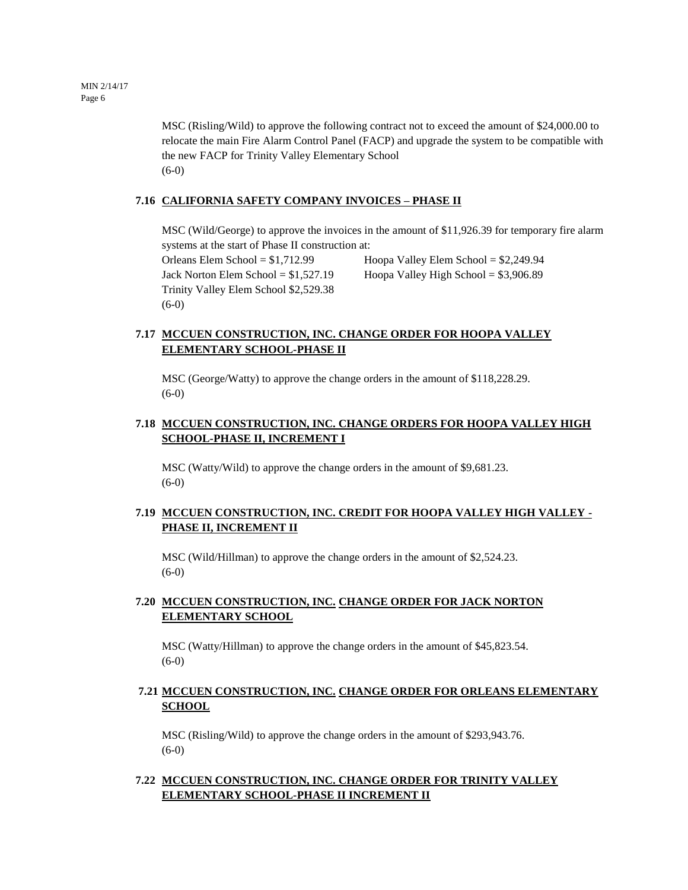MSC (Risling/Wild) to approve the following contract not to exceed the amount of \$24,000.00 to relocate the main Fire Alarm Control Panel (FACP) and upgrade the system to be compatible with the new FACP for Trinity Valley Elementary School (6-0)

## **7.16 CALIFORNIA SAFETY COMPANY INVOICES – PHASE II**

MSC (Wild/George) to approve the invoices in the amount of \$11,926.39 for temporary fire alarm systems at the start of Phase II construction at:

Orleans Elem School = \$1,712.99 Hoopa Valley Elem School = \$2,249.94 Trinity Valley Elem School \$2,529.38 (6-0)

Jack Norton Elem School =  $$1,527.19$  Hoopa Valley High School =  $$3,906.89$ 

## **7.17 MCCUEN CONSTRUCTION, INC. CHANGE ORDER FOR HOOPA VALLEY ELEMENTARY SCHOOL-PHASE II**

MSC (George/Watty) to approve the change orders in the amount of \$118,228.29.  $(6-0)$ 

## **7.18 MCCUEN CONSTRUCTION, INC. CHANGE ORDERS FOR HOOPA VALLEY HIGH SCHOOL-PHASE II, INCREMENT I**

MSC (Watty/Wild) to approve the change orders in the amount of \$9,681.23. (6-0)

## **7.19 MCCUEN CONSTRUCTION, INC. CREDIT FOR HOOPA VALLEY HIGH VALLEY - PHASE II, INCREMENT II**

MSC (Wild/Hillman) to approve the change orders in the amount of \$2,524.23.  $(6-0)$ 

## **7.20 MCCUEN CONSTRUCTION, INC. CHANGE ORDER FOR JACK NORTON ELEMENTARY SCHOOL**

MSC (Watty/Hillman) to approve the change orders in the amount of \$45,823.54. (6-0)

## **7.21 MCCUEN CONSTRUCTION, INC. CHANGE ORDER FOR ORLEANS ELEMENTARY SCHOOL**

MSC (Risling/Wild) to approve the change orders in the amount of \$293,943.76.  $(6-0)$ 

## **7.22 MCCUEN CONSTRUCTION, INC. CHANGE ORDER FOR TRINITY VALLEY ELEMENTARY SCHOOL-PHASE II INCREMENT II**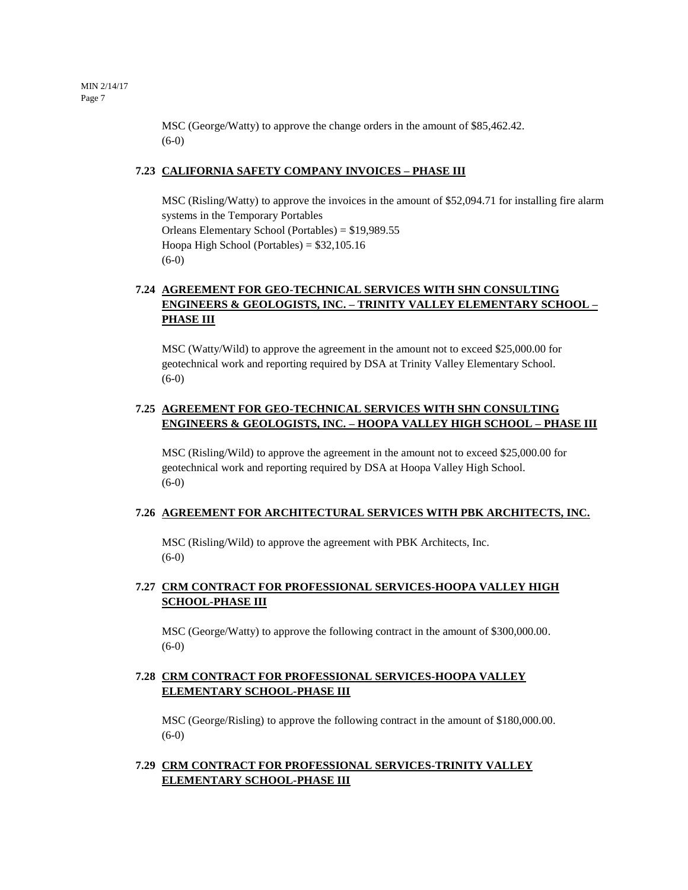MSC (George/Watty) to approve the change orders in the amount of \$85,462.42. (6-0)

#### **7.23 CALIFORNIA SAFETY COMPANY INVOICES – PHASE III**

MSC (Risling/Watty) to approve the invoices in the amount of \$52,094.71 for installing fire alarm systems in the Temporary Portables Orleans Elementary School (Portables) = \$19,989.55 Hoopa High School (Portables) = \$32,105.16 (6-0)

## **7.24 AGREEMENT FOR GEO-TECHNICAL SERVICES WITH SHN CONSULTING ENGINEERS & GEOLOGISTS, INC. – TRINITY VALLEY ELEMENTARY SCHOOL – PHASE III**

MSC (Watty/Wild) to approve the agreement in the amount not to exceed \$25,000.00 for geotechnical work and reporting required by DSA at Trinity Valley Elementary School. (6-0)

## **7.25 AGREEMENT FOR GEO-TECHNICAL SERVICES WITH SHN CONSULTING ENGINEERS & GEOLOGISTS, INC. – HOOPA VALLEY HIGH SCHOOL – PHASE III**

MSC (Risling/Wild) to approve the agreement in the amount not to exceed \$25,000.00 for geotechnical work and reporting required by DSA at Hoopa Valley High School. (6-0)

#### **7.26 AGREEMENT FOR ARCHITECTURAL SERVICES WITH PBK ARCHITECTS, INC.**

MSC (Risling/Wild) to approve the agreement with PBK Architects, Inc. (6-0)

## **7.27 CRM CONTRACT FOR PROFESSIONAL SERVICES-HOOPA VALLEY HIGH SCHOOL-PHASE III**

MSC (George/Watty) to approve the following contract in the amount of \$300,000.00. (6-0)

## **7.28 CRM CONTRACT FOR PROFESSIONAL SERVICES-HOOPA VALLEY ELEMENTARY SCHOOL-PHASE III**

MSC (George/Risling) to approve the following contract in the amount of \$180,000.00. (6-0)

## **7.29 CRM CONTRACT FOR PROFESSIONAL SERVICES-TRINITY VALLEY ELEMENTARY SCHOOL-PHASE III**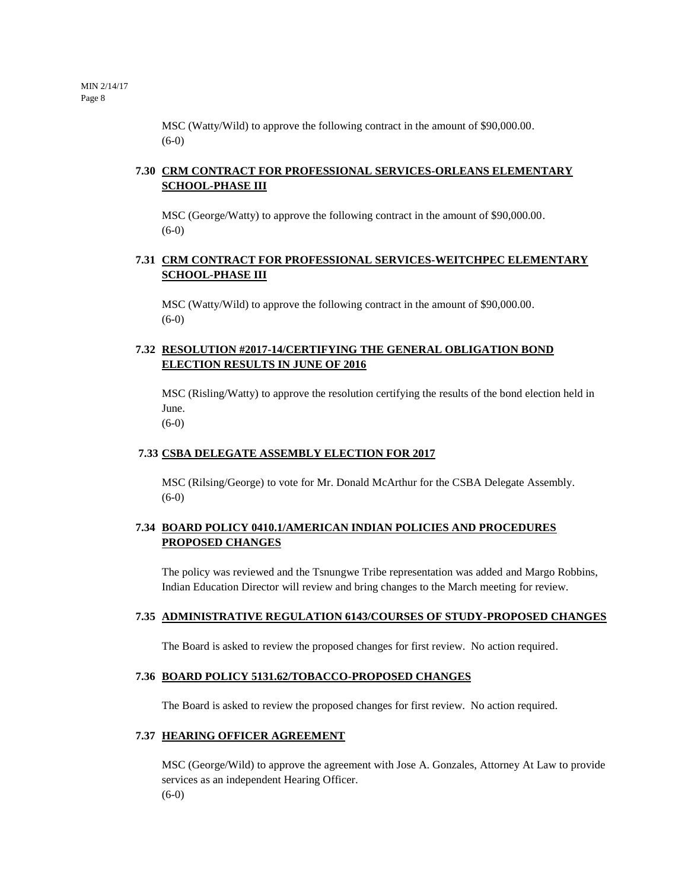MSC (Watty/Wild) to approve the following contract in the amount of \$90,000.00. (6-0)

## **7.30 CRM CONTRACT FOR PROFESSIONAL SERVICES-ORLEANS ELEMENTARY SCHOOL-PHASE III**

MSC (George/Watty) to approve the following contract in the amount of \$90,000.00. (6-0)

## **7.31 CRM CONTRACT FOR PROFESSIONAL SERVICES-WEITCHPEC ELEMENTARY SCHOOL-PHASE III**

MSC (Watty/Wild) to approve the following contract in the amount of \$90,000.00.  $(6-0)$ 

## **7.32 RESOLUTION #2017-14/CERTIFYING THE GENERAL OBLIGATION BOND ELECTION RESULTS IN JUNE OF 2016**

MSC (Risling/Watty) to approve the resolution certifying the results of the bond election held in June.

(6-0)

## **7.33 CSBA DELEGATE ASSEMBLY ELECTION FOR 2017**

MSC (Rilsing/George) to vote for Mr. Donald McArthur for the CSBA Delegate Assembly.  $(6-0)$ 

## **7.34 BOARD POLICY 0410.1/AMERICAN INDIAN POLICIES AND PROCEDURES PROPOSED CHANGES**

The policy was reviewed and the Tsnungwe Tribe representation was added and Margo Robbins, Indian Education Director will review and bring changes to the March meeting for review.

## **7.35 ADMINISTRATIVE REGULATION 6143/COURSES OF STUDY-PROPOSED CHANGES**

The Board is asked to review the proposed changes for first review. No action required.

## **7.36 BOARD POLICY 5131.62/TOBACCO-PROPOSED CHANGES**

The Board is asked to review the proposed changes for first review. No action required.

## **7.37 HEARING OFFICER AGREEMENT**

MSC (George/Wild) to approve the agreement with Jose A. Gonzales, Attorney At Law to provide services as an independent Hearing Officer. (6-0)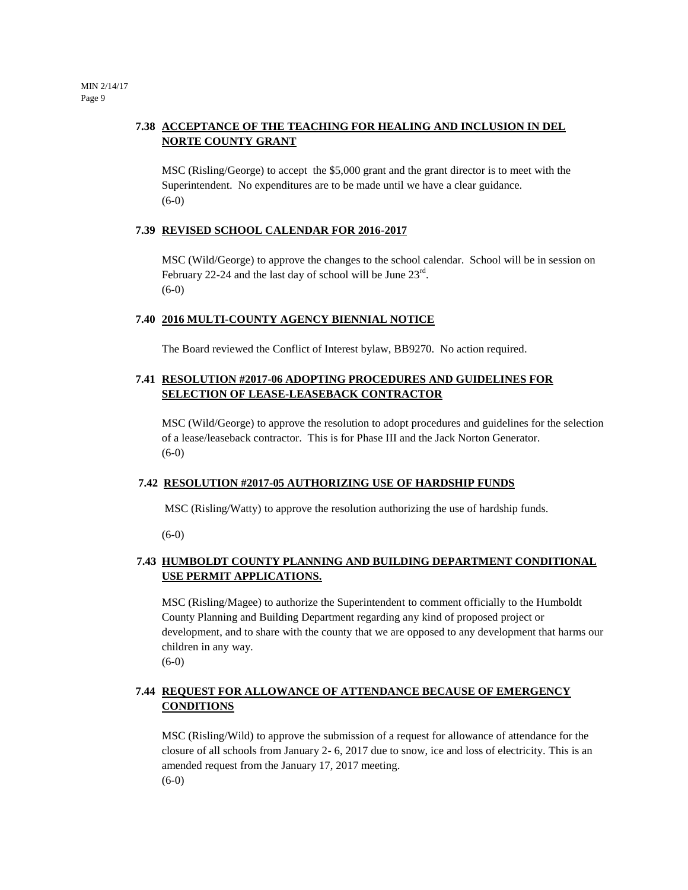## **7.38 ACCEPTANCE OF THE TEACHING FOR HEALING AND INCLUSION IN DEL NORTE COUNTY GRANT**

MSC (Risling/George) to accept the \$5,000 grant and the grant director is to meet with the Superintendent. No expenditures are to be made until we have a clear guidance. (6-0)

#### **7.39 REVISED SCHOOL CALENDAR FOR 2016-2017**

MSC (Wild/George) to approve the changes to the school calendar. School will be in session on February 22-24 and the last day of school will be June  $23^{\text{rd}}$ . (6-0)

#### **7.40 2016 MULTI-COUNTY AGENCY BIENNIAL NOTICE**

The Board reviewed the Conflict of Interest bylaw, BB9270. No action required.

## **7.41 RESOLUTION #2017-06 ADOPTING PROCEDURES AND GUIDELINES FOR SELECTION OF LEASE-LEASEBACK CONTRACTOR**

MSC (Wild/George) to approve the resolution to adopt procedures and guidelines for the selection of a lease/leaseback contractor. This is for Phase III and the Jack Norton Generator.  $(6-0)$ 

#### **7.42 RESOLUTION #2017-05 AUTHORIZING USE OF HARDSHIP FUNDS**

MSC (Risling/Watty) to approve the resolution authorizing the use of hardship funds.

(6-0)

## **7.43 HUMBOLDT COUNTY PLANNING AND BUILDING DEPARTMENT CONDITIONAL USE PERMIT APPLICATIONS.**

MSC (Risling/Magee) to authorize the Superintendent to comment officially to the Humboldt County Planning and Building Department regarding any kind of proposed project or development, and to share with the county that we are opposed to any development that harms our children in any way. (6-0)

## **7.44 REQUEST FOR ALLOWANCE OF ATTENDANCE BECAUSE OF EMERGENCY CONDITIONS**

MSC (Risling/Wild) to approve the submission of a request for allowance of attendance for the closure of all schools from January 2- 6, 2017 due to snow, ice and loss of electricity. This is an amended request from the January 17, 2017 meeting. (6-0)